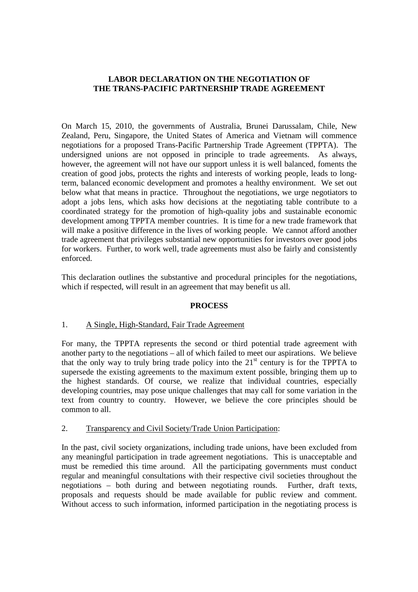# **LABOR DECLARATION ON THE NEGOTIATION OF THE TRANS-PACIFIC PARTNERSHIP TRADE AGREEMENT**

On March 15, 2010, the governments of Australia, Brunei Darussalam, Chile, New Zealand, Peru, Singapore, the United States of America and Vietnam will commence negotiations for a proposed Trans-Pacific Partnership Trade Agreement (TPPTA). The undersigned unions are not opposed in principle to trade agreements. As always, however, the agreement will not have our support unless it is well balanced, foments the creation of good jobs, protects the rights and interests of working people, leads to longterm, balanced economic development and promotes a healthy environment. We set out below what that means in practice. Throughout the negotiations, we urge negotiators to adopt a jobs lens, which asks how decisions at the negotiating table contribute to a coordinated strategy for the promotion of high-quality jobs and sustainable economic development among TPPTA member countries. It is time for a new trade framework that will make a positive difference in the lives of working people. We cannot afford another trade agreement that privileges substantial new opportunities for investors over good jobs for workers. Further, to work well, trade agreements must also be fairly and consistently enforced.

This declaration outlines the substantive and procedural principles for the negotiations, which if respected, will result in an agreement that may benefit us all.

## **PROCESS**

## 1. A Single, High-Standard, Fair Trade Agreement

For many, the TPPTA represents the second or third potential trade agreement with another party to the negotiations – all of which failed to meet our aspirations. We believe that the only way to truly bring trade policy into the  $21<sup>st</sup>$  century is for the TPPTA to supersede the existing agreements to the maximum extent possible, bringing them up to the highest standards. Of course, we realize that individual countries, especially developing countries, may pose unique challenges that may call for some variation in the text from country to country. However, we believe the core principles should be common to all.

## 2. Transparency and Civil Society/Trade Union Participation:

In the past, civil society organizations, including trade unions, have been excluded from any meaningful participation in trade agreement negotiations. This is unacceptable and must be remedied this time around. All the participating governments must conduct regular and meaningful consultations with their respective civil societies throughout the negotiations – both during and between negotiating rounds. Further, draft texts, proposals and requests should be made available for public review and comment. Without access to such information, informed participation in the negotiating process is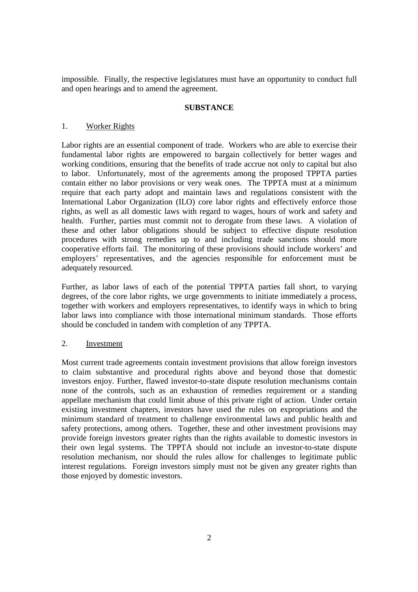impossible. Finally, the respective legislatures must have an opportunity to conduct full and open hearings and to amend the agreement.

#### **SUBSTANCE**

#### 1. Worker Rights

Labor rights are an essential component of trade. Workers who are able to exercise their fundamental labor rights are empowered to bargain collectively for better wages and working conditions, ensuring that the benefits of trade accrue not only to capital but also to labor. Unfortunately, most of the agreements among the proposed TPPTA parties contain either no labor provisions or very weak ones. The TPPTA must at a minimum require that each party adopt and maintain laws and regulations consistent with the International Labor Organization (ILO) core labor rights and effectively enforce those rights, as well as all domestic laws with regard to wages, hours of work and safety and health. Further, parties must commit not to derogate from these laws. A violation of these and other labor obligations should be subject to effective dispute resolution procedures with strong remedies up to and including trade sanctions should more cooperative efforts fail. The monitoring of these provisions should include workers' and employers' representatives, and the agencies responsible for enforcement must be adequately resourced.

Further, as labor laws of each of the potential TPPTA parties fall short, to varying degrees, of the core labor rights, we urge governments to initiate immediately a process, together with workers and employers representatives, to identify ways in which to bring labor laws into compliance with those international minimum standards. Those efforts should be concluded in tandem with completion of any TPPTA.

#### 2. Investment

Most current trade agreements contain investment provisions that allow foreign investors to claim substantive and procedural rights above and beyond those that domestic investors enjoy. Further, flawed investor-to-state dispute resolution mechanisms contain none of the controls, such as an exhaustion of remedies requirement or a standing appellate mechanism that could limit abuse of this private right of action. Under certain existing investment chapters, investors have used the rules on expropriations and the minimum standard of treatment to challenge environmental laws and public health and safety protections, among others. Together, these and other investment provisions may provide foreign investors greater rights than the rights available to domestic investors in their own legal systems. The TPPTA should not include an investor-to-state dispute resolution mechanism, nor should the rules allow for challenges to legitimate public interest regulations. Foreign investors simply must not be given any greater rights than those enjoyed by domestic investors.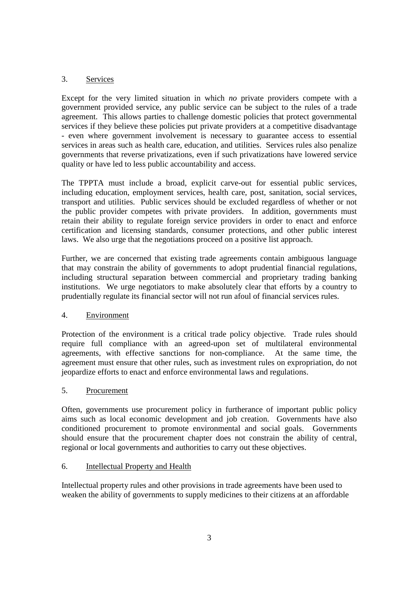# 3. Services

Except for the very limited situation in which *no* private providers compete with a government provided service, any public service can be subject to the rules of a trade agreement. This allows parties to challenge domestic policies that protect governmental services if they believe these policies put private providers at a competitive disadvantage - even where government involvement is necessary to guarantee access to essential services in areas such as health care, education, and utilities. Services rules also penalize governments that reverse privatizations, even if such privatizations have lowered service quality or have led to less public accountability and access.

The TPPTA must include a broad, explicit carve-out for essential public services, including education, employment services, health care, post, sanitation, social services, transport and utilities. Public services should be excluded regardless of whether or not the public provider competes with private providers. In addition, governments must retain their ability to regulate foreign service providers in order to enact and enforce certification and licensing standards, consumer protections, and other public interest laws. We also urge that the negotiations proceed on a positive list approach.

Further, we are concerned that existing trade agreements contain ambiguous language that may constrain the ability of governments to adopt prudential financial regulations, including structural separation between commercial and proprietary trading banking institutions. We urge negotiators to make absolutely clear that efforts by a country to prudentially regulate its financial sector will not run afoul of financial services rules.

## 4. Environment

Protection of the environment is a critical trade policy objective. Trade rules should require full compliance with an agreed-upon set of multilateral environmental agreements, with effective sanctions for non-compliance. At the same time, the agreement must ensure that other rules, such as investment rules on expropriation, do not jeopardize efforts to enact and enforce environmental laws and regulations.

## 5. Procurement

Often, governments use procurement policy in furtherance of important public policy aims such as local economic development and job creation. Governments have also conditioned procurement to promote environmental and social goals. Governments should ensure that the procurement chapter does not constrain the ability of central, regional or local governments and authorities to carry out these objectives.

## 6. Intellectual Property and Health

Intellectual property rules and other provisions in trade agreements have been used to weaken the ability of governments to supply medicines to their citizens at an affordable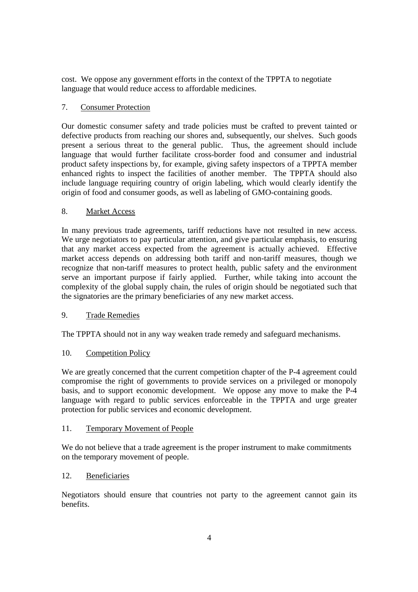cost. We oppose any government efforts in the context of the TPPTA to negotiate language that would reduce access to affordable medicines.

## 7. Consumer Protection

Our domestic consumer safety and trade policies must be crafted to prevent tainted or defective products from reaching our shores and, subsequently, our shelves. Such goods present a serious threat to the general public. Thus, the agreement should include language that would further facilitate cross-border food and consumer and industrial product safety inspections by, for example, giving safety inspectors of a TPPTA member enhanced rights to inspect the facilities of another member. The TPPTA should also include language requiring country of origin labeling, which would clearly identify the origin of food and consumer goods, as well as labeling of GMO-containing goods.

# 8. Market Access

In many previous trade agreements, tariff reductions have not resulted in new access. We urge negotiators to pay particular attention, and give particular emphasis, to ensuring that any market access expected from the agreement is actually achieved. Effective market access depends on addressing both tariff and non-tariff measures, though we recognize that non-tariff measures to protect health, public safety and the environment serve an important purpose if fairly applied. Further, while taking into account the complexity of the global supply chain, the rules of origin should be negotiated such that the signatories are the primary beneficiaries of any new market access.

## 9. Trade Remedies

The TPPTA should not in any way weaken trade remedy and safeguard mechanisms.

## 10. Competition Policy

We are greatly concerned that the current competition chapter of the P-4 agreement could compromise the right of governments to provide services on a privileged or monopoly basis, and to support economic development. We oppose any move to make the P-4 language with regard to public services enforceable in the TPPTA and urge greater protection for public services and economic development.

## 11. Temporary Movement of People

We do not believe that a trade agreement is the proper instrument to make commitments on the temporary movement of people.

## 12. Beneficiaries

Negotiators should ensure that countries not party to the agreement cannot gain its benefits.